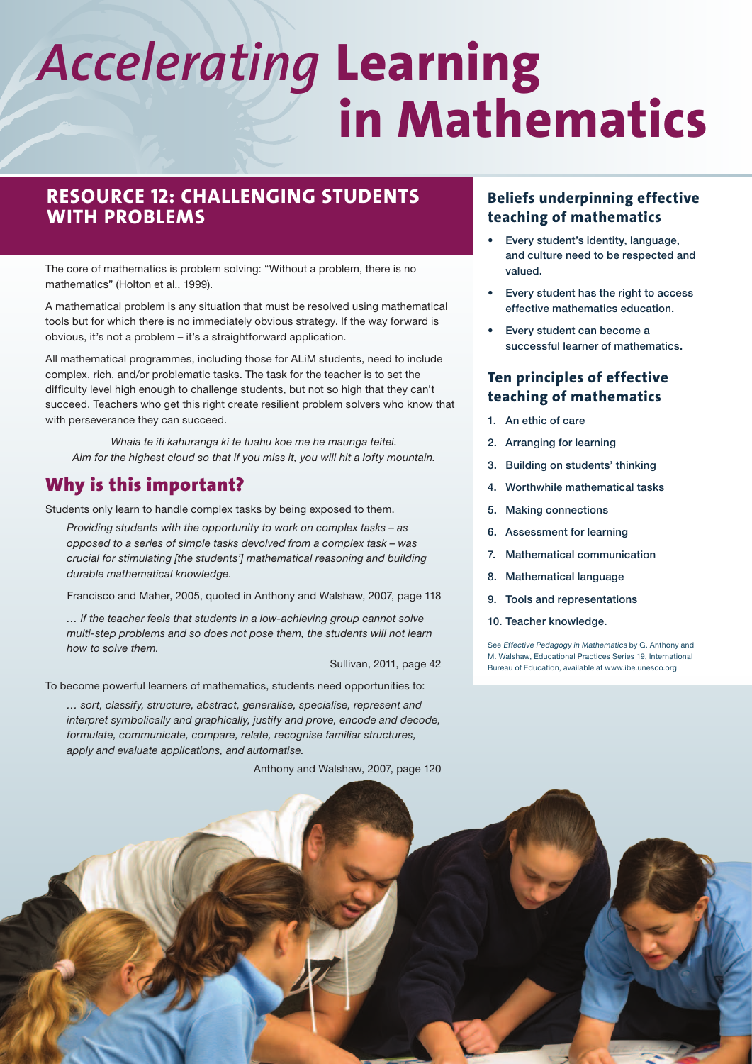# *Accelerating* **Learning in Mathematics**

# **Resource 12: Challenging students with problems**

The core of mathematics is problem solving: "Without a problem, there is no mathematics" (Holton et al., 1999).

A mathematical problem is any situation that must be resolved using mathematical tools but for which there is no immediately obvious strategy. If the way forward is obvious, it's not a problem – it's a straightforward application.

All mathematical programmes, including those for ALiM students, need to include complex, rich, and/or problematic tasks. The task for the teacher is to set the difficulty level high enough to challenge students, but not so high that they can't succeed. Teachers who get this right create resilient problem solvers who know that with perseverance they can succeed.

Whaia te iti kahuranga ki te tuahu koe me he maunga teitei. Aim for the highest cloud so that if you miss it, you will hit a lofty mountain.

# Why is this important?

Students only learn to handle complex tasks by being exposed to them.

Providing students with the opportunity to work on complex tasks – as opposed to a series of simple tasks devolved from a complex task – was crucial for stimulating [the students'] mathematical reasoning and building durable mathematical knowledge.

Francisco and Maher, 2005, quoted in Anthony and Walshaw, 2007, page 118

… if the teacher feels that students in a low-achieving group cannot solve multi-step problems and so does not pose them, the students will not learn how to solve them.

Sullivan, 2011, page 42

To become powerful learners of mathematics, students need opportunities to:

… sort, classify, structure, abstract, generalise, specialise, represent and interpret symbolically and graphically, justify and prove, encode and decode, formulate, communicate, compare, relate, recognise familiar structures, apply and evaluate applications, and automatise.

# **Beliefs underpinning effective teaching of mathematics**

- Every student's identity, language, and culture need to be respected and valued.
- Every student has the right to access effective mathematics education.
- Every student can become a successful learner of mathematics.

## **Ten principles of effective teaching of mathematics**

- 1. An ethic of care
- 2. Arranging for learning
- 3. Building on students' thinking
- 4. Worthwhile mathematical tasks
- 5. Making connections
- 6. Assessment for learning
- 7. Mathematical communication
- 8. Mathematical language
- 9. Tools and representations
- 10. Teacher knowledge.

See Effective Pedagogy in Mathematics by G. Anthony and M. Walshaw, Educational Practices Series 19, International Bureau of Education, available at [www.ibe.unesco.org](http://www.ibe.unesco.org)

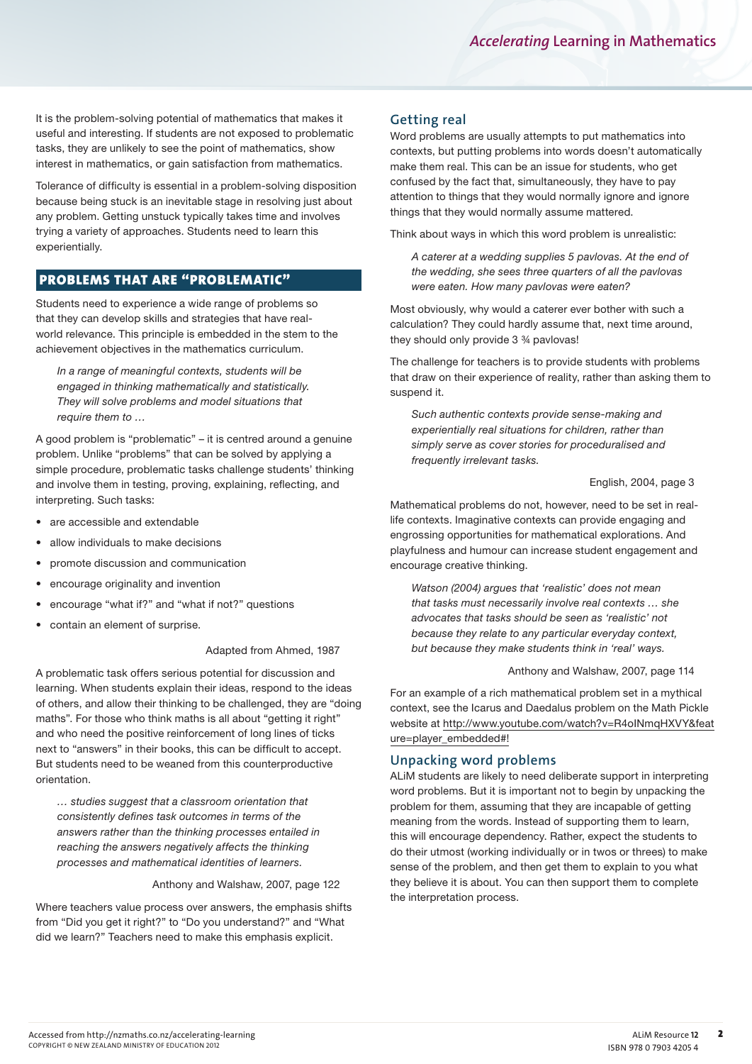It is the problem-solving potential of mathematics that makes it useful and interesting. If students are not exposed to problematic tasks, they are unlikely to see the point of mathematics, show interest in mathematics, or gain satisfaction from mathematics.

Tolerance of difficulty is essential in a problem-solving disposition because being stuck is an inevitable stage in resolving just about any problem. Getting unstuck typically takes time and involves trying a variety of approaches. Students need to learn this experientially.

## Problems that are "problematic"

Students need to experience a wide range of problems so that they can develop skills and strategies that have realworld relevance. This principle is embedded in the stem to the achievement objectives in the mathematics curriculum.

In a range of meaningful contexts, students will be engaged in thinking mathematically and statistically. They will solve problems and model situations that require them to …

A good problem is "problematic" – it is centred around a genuine problem. Unlike "problems" that can be solved by applying a simple procedure, problematic tasks challenge students' thinking and involve them in testing, proving, explaining, reflecting, and interpreting. Such tasks:

- are accessible and extendable
- allow individuals to make decisions
- • promote discussion and communication
- encourage originality and invention
- encourage "what if?" and "what if not?" questions
- contain an element of surprise.

#### Adapted from Ahmed, 1987

A problematic task offers serious potential for discussion and learning. When students explain their ideas, respond to the ideas of others, and allow their thinking to be challenged, they are "doing maths". For those who think maths is all about "getting it right" and who need the positive reinforcement of long lines of ticks next to "answers" in their books, this can be difficult to accept. But students need to be weaned from this counterproductive orientation.

… studies suggest that a classroom orientation that consistently defines task outcomes in terms of the answers rather than the thinking processes entailed in reaching the answers negatively affects the thinking processes and mathematical identities of learners.

#### Anthony and Walshaw, 2007, page 122

Where teachers value process over answers, the emphasis shifts from "Did you get it right?" to "Do you understand?" and "What did we learn?" Teachers need to make this emphasis explicit.

#### **Getting real**

Word problems are usually attempts to put mathematics into contexts, but putting problems into words doesn't automatically make them real. This can be an issue for students, who get confused by the fact that, simultaneously, they have to pay attention to things that they would normally ignore and ignore things that they would normally assume mattered.

Think about ways in which this word problem is unrealistic:

A caterer at a wedding supplies 5 pavlovas. At the end of the wedding, she sees three quarters of all the pavlovas were eaten. How many pavlovas were eaten?

Most obviously, why would a caterer ever bother with such a calculation? They could hardly assume that, next time around, they should only provide 3 ¾ pavlovas!

The challenge for teachers is to provide students with problems that draw on their experience of reality, rather than asking them to suspend it.

Such authentic contexts provide sense-making and experientially real situations for children, rather than simply serve as cover stories for proceduralised and frequently irrelevant tasks.

#### English, 2004, page 3

Mathematical problems do not, however, need to be set in reallife contexts. Imaginative contexts can provide engaging and engrossing opportunities for mathematical explorations. And playfulness and humour can increase student engagement and encourage creative thinking.

Watson (2004) argues that 'realistic' does not mean that tasks must necessarily involve real contexts … she advocates that tasks should be seen as 'realistic' not because they relate to any particular everyday context, but because they make students think in 'real' ways.

Anthony and Walshaw, 2007, page 114

For an example of a rich mathematical problem set in a mythical context, see the Icarus and Daedalus problem on the Math Pickle website at [http://www.youtube.com/watch?v=R4oINmqHXVY&feat](http://www.youtube.com/watch?v=R4oINmqHXVY&feature=player_embedded#!) [ure=player\\_embedded#!](http://www.youtube.com/watch?v=R4oINmqHXVY&feature=player_embedded#!)

#### **Unpacking word problems**

ALiM students are likely to need deliberate support in interpreting word problems. But it is important not to begin by unpacking the problem for them, assuming that they are incapable of getting meaning from the words. Instead of supporting them to learn, this will encourage dependency. Rather, expect the students to do their utmost (working individually or in twos or threes) to make sense of the problem, and then get them to explain to you what they believe it is about. You can then support them to complete the interpretation process.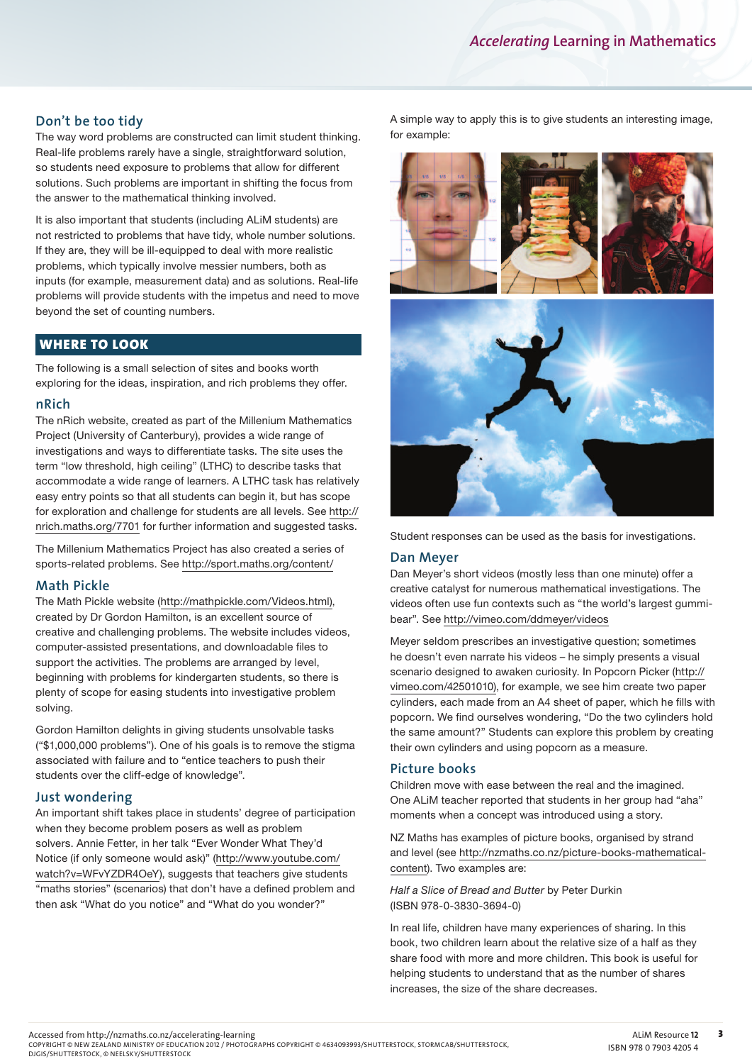### **Don't be too tidy**

The way word problems are constructed can limit student thinking. Real-life problems rarely have a single, straightforward solution, so students need exposure to problems that allow for different solutions. Such problems are important in shifting the focus from the answer to the mathematical thinking involved.

It is also important that students (including ALiM students) are not restricted to problems that have tidy, whole number solutions. If they are, they will be ill-equipped to deal with more realistic problems, which typically involve messier numbers, both as inputs (for example, measurement data) and as solutions. Real-life problems will provide students with the impetus and need to move beyond the set of counting numbers.

#### Where to look

The following is a small selection of sites and books worth exploring for the ideas, inspiration, and rich problems they offer.

#### **nRich**

The nRich website, created as part of the Millenium Mathematics Project (University of Canterbury), provides a wide range of investigations and ways to differentiate tasks. The site uses the term "low threshold, high ceiling" (LTHC) to describe tasks that accommodate a wide range of learners. A LTHC task has relatively easy entry points so that all students can begin it, but has scope for exploration and challenge for students are all levels. See [http://](http://nrich.maths.org/7701) [nrich.maths.org/7701](http://nrich.maths.org/7701) for further information and suggested tasks.

The Millenium Mathematics Project has also created a series of sports-related problems. See<http://sport.maths.org/content/>

#### **Math Pickle**

The Math Pickle website (<http://mathpickle.com/Videos.html>), created by Dr Gordon Hamilton, is an excellent source of creative and challenging problems. The website includes videos, computer-assisted presentations, and downloadable files to support the activities. The problems are arranged by level, beginning with problems for kindergarten students, so there is plenty of scope for easing students into investigative problem solving.

Gordon Hamilton delights in giving students unsolvable tasks ("\$1,000,000 problems"). One of his goals is to remove the stigma associated with failure and to "entice teachers to push their students over the cliff-edge of knowledge".

#### **Just wondering**

An important shift takes place in students' degree of participation when they become problem posers as well as problem solvers. Annie Fetter, in her talk "Ever Wonder What They'd Notice (if only someone would ask)" ([http://www.youtube.com/](http://www.youtube.com/watch?v=WFvYZDR4OeY) [watch?v=WFvYZDR4OeY](http://www.youtube.com/watch?v=WFvYZDR4OeY)), suggests that teachers give students "maths stories" (scenarios) that don't have a defined problem and then ask "What do you notice" and "What do you wonder?"

A simple way to apply this is to give students an interesting image, for example:



Student responses can be used as the basis for investigations.

#### **Dan Meyer**

Dan Meyer's short videos (mostly less than one minute) offer a creative catalyst for numerous mathematical investigations. The videos often use fun contexts such as "the world's largest gummibear". See <http://vimeo.com/ddmeyer/videos>

Meyer seldom prescribes an investigative question; sometimes he doesn't even narrate his videos – he simply presents a visual scenario designed to awaken curiosity. In Popcorn Picker ([http://](http://vimeo.com/42501010) [vimeo.com/42501010\)](http://vimeo.com/42501010), for example, we see him create two paper cylinders, each made from an A4 sheet of paper, which he fills with popcorn. We find ourselves wondering, "Do the two cylinders hold the same amount?" Students can explore this problem by creating their own cylinders and using popcorn as a measure.

#### **Picture books**

Children move with ease between the real and the imagined. One ALiM teacher reported that students in her group had "aha" moments when a concept was introduced using a story.

NZ Maths has examples of picture books, organised by strand and level (see [http://nzmaths.co.nz/picture-books-mathematical](http://nzmaths.co.nz/picture-books-mathematical-content)[content](http://nzmaths.co.nz/picture-books-mathematical-content)). Two examples are:

Half a Slice of Bread and Butter by Peter Durkin (ISBN 978-0-3830-3694-0)

In real life, children have many experiences of sharing. In this book, two children learn about the relative size of a half as they share food with more and more children. This book is useful for helping students to understand that as the number of shares increases, the size of the share decreases.

COPYRIGHT © NEW ZEALAND MINISTRY OF EDUCATION 2012 / PHOTOGRAPHS COPYRIGHT © 4634093993/SHUTTERSTOCK, STORMCAB/SHUTTERSTOCK,<br>DJGIS/SHUTTERSTOCK, © NEELSKY/SHUTTERSTOCK